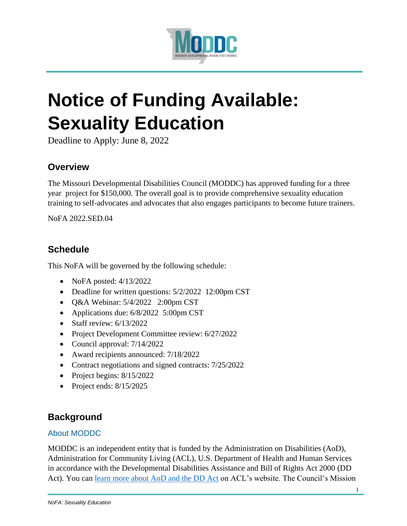

# **Notice of Funding Available: Sexuality Education**

Deadline to Apply: June 8, 2022

# **Overview**

The Missouri Developmental Disabilities Council (MODDC) has approved funding for a three year project for \$150,000. The overall goal is to provide comprehensive sexuality education training to self-advocates and advocates that also engages participants to become future trainers.

NoFA 2022.SED.04

# **Schedule**

This NoFA will be governed by the following schedule:

- NoFA posted: 4/13/2022
- Deadline for written questions:  $5/2/2022$  12:00pm CST
- $\bullet$  Q&A Webinar: 5/4/2022 2:00pm CST
- Applications due:  $6/8/2022$  5:00pm CST
- $\bullet$  Staff review: 6/13/2022
- Project Development Committee review: 6/27/2022
- Council approval:  $7/14/2022$
- Award recipients announced: 7/18/2022
- Contract negotiations and signed contracts:  $7/25/2022$
- Project begins:  $8/15/2022$
- Project ends:  $8/15/2025$

# **Background**

#### About MODDC

MODDC is an independent entity that is funded by the Administration on Disabilities (AoD), Administration for Community Living (ACL), U.S. Department of Health and Human Services in accordance with the Developmental Disabilities Assistance and Bill of Rights Act 2000 (DD Act). You can [learn more about AoD and the DD Act](https://acl.gov/about-acl/administration-disabilities) on ACL's website. The Council's Mission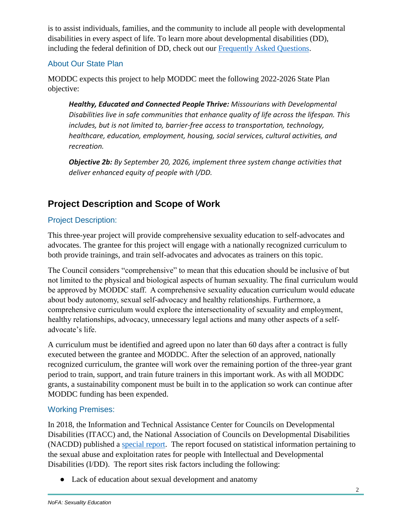is to assist individuals, families, and the community to include all people with developmental disabilities in every aspect of life. To learn more about developmental disabilities (DD), including the federal definition of DD, check out our [Frequently Asked Questions.](https://moddcouncil.org/about-us/faq/)

#### About Our State Plan

MODDC expects this project to help MODDC meet the following 2022-2026 State Plan objective:

*Healthy, Educated and Connected People Thrive: Missourians with Developmental Disabilities live in safe communities that enhance quality of life across the lifespan. This includes, but is not limited to, barrier-free access to transportation, technology, healthcare, education, employment, housing, social services, cultural activities, and recreation.* 

*Objective 2b: By September 20, 2026, implement three system change activities that deliver enhanced equity of people with I/DD.*

# **Project Description and Scope of Work**

## Project Description:

This three-year project will provide comprehensive sexuality education to self-advocates and advocates. The grantee for this project will engage with a nationally recognized curriculum to both provide trainings, and train self-advocates and advocates as trainers on this topic.

The Council considers "comprehensive" to mean that this education should be inclusive of but not limited to the physical and biological aspects of human sexuality. The final curriculum would be approved by MODDC staff. A comprehensive sexuality education curriculum would educate about body autonomy, sexual self-advocacy and healthy relationships. Furthermore, a comprehensive curriculum would explore the intersectionality of sexuality and employment, healthy relationships, advocacy, unnecessary legal actions and many other aspects of a selfadvocate's life.

A curriculum must be identified and agreed upon no later than 60 days after a contract is fully executed between the grantee and MODDC. After the selection of an approved, nationally recognized curriculum, the grantee will work over the remaining portion of the three-year grant period to train, support, and train future trainers in this important work. As with all MODDC grants, a sustainability component must be built in to the application so work can continue after MODDC funding has been expended.

#### Working Premises:

In 2018, the Information and Technical Assistance Center for Councils on Developmental Disabilities (ITACC) and, the National Association of Councils on Developmental Disabilities (NACDD) published a [special report.](https://nacdd.org/wp-content/uploads/2017/11/DD-Councils-Special-Publication.pdf) The report focused on statistical information pertaining to the sexual abuse and exploitation rates for people with Intellectual and Developmental Disabilities (I/DD). The report sites risk factors including the following:

• Lack of education about sexual development and anatomy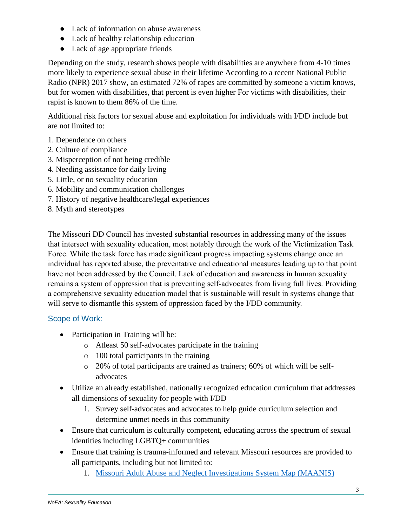- Lack of information on abuse awareness
- Lack of healthy relationship education
- Lack of age appropriate friends

Depending on the study, research shows people with disabilities are anywhere from 4-10 times more likely to experience sexual abuse in their lifetime According to a recent National Public Radio (NPR) 2017 show, an estimated 72% of rapes are committed by someone a victim knows, but for women with disabilities, that percent is even higher For victims with disabilities, their rapist is known to them 86% of the time.

Additional risk factors for sexual abuse and exploitation for individuals with I/DD include but are not limited to:

- 1. Dependence on others
- 2. Culture of compliance
- 3. Misperception of not being credible
- 4. Needing assistance for daily living
- 5. Little, or no sexuality education
- 6. Mobility and communication challenges
- 7. History of negative healthcare/legal experiences
- 8. Myth and stereotypes

The Missouri DD Council has invested substantial resources in addressing many of the issues that intersect with sexuality education, most notably through the work of the Victimization Task Force. While the task force has made significant progress impacting systems change once an individual has reported abuse, the preventative and educational measures leading up to that point have not been addressed by the Council. Lack of education and awareness in human sexuality remains a system of oppression that is preventing self-advocates from living full lives. Providing a comprehensive sexuality education model that is sustainable will result in systems change that will serve to dismantle this system of oppression faced by the I/DD community.

#### Scope of Work:

- Participation in Training will be:
	- o Atleast 50 self-advocates participate in the training
	- o 100 total participants in the training
	- o 20% of total participants are trained as trainers; 60% of which will be selfadvocates
- Utilize an already established, nationally recognized education curriculum that addresses all dimensions of sexuality for people with I/DD
	- 1. Survey self-advocates and advocates to help guide curriculum selection and determine unmet needs in this community
- Ensure that curriculum is culturally competent, educating across the spectrum of sexual identities including LGBTQ+ communities
- Ensure that training is trauma-informed and relevant Missouri resources are provided to all participants, including but not limited to:
	- 1. [Missouri Adult Abuse and Neglect Investigations System Map \(MAANIS\)](https://ihd.umkc.edu/ihd-programs/health-and-wellness-promotion/mapping-the-missouri-adult-abuse-and-neglect-investigation-systems/)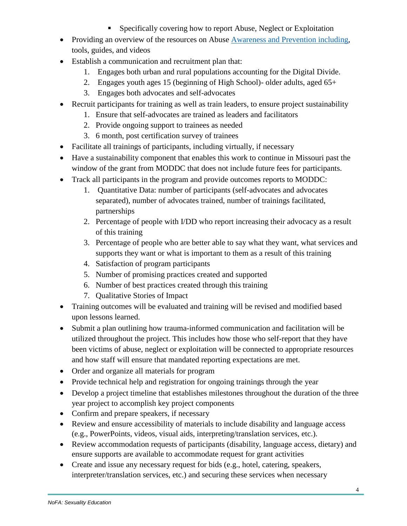- Specifically covering how to report Abuse, Neglect or Exploitation
- Providing an overview of the resources on Abuse [Awareness and Prevention including,](http://www.lifecoursetools.com/lifecourse-library/exploring-the-life-domains/abuse-awareness-and-prevention/) tools, guides, and videos
- Establish a communication and recruitment plan that:
	- 1. Engages both urban and rural populations accounting for the Digital Divide.
	- 2. Engages youth ages 15 (beginning of High School)- older adults, aged 65+
	- 3. Engages both advocates and self-advocates
- Recruit participants for training as well as train leaders, to ensure project sustainability
	- 1. Ensure that self-advocates are trained as leaders and facilitators
	- 2. Provide ongoing support to trainees as needed
	- 3. 6 month, post certification survey of trainees
- Facilitate all trainings of participants, including virtually, if necessary
- Have a sustainability component that enables this work to continue in Missouri past the window of the grant from MODDC that does not include future fees for participants.
- Track all participants in the program and provide outcomes reports to MODDC:
	- 1. Quantitative Data: number of participants (self-advocates and advocates separated), number of advocates trained, number of trainings facilitated, partnerships
	- 2. Percentage of people with I/DD who report increasing their advocacy as a result of this training
	- 3. Percentage of people who are better able to say what they want, what services and supports they want or what is important to them as a result of this training
	- 4. Satisfaction of program participants
	- 5. Number of promising practices created and supported
	- 6. Number of best practices created through this training
	- 7. Qualitative Stories of Impact
- Training outcomes will be evaluated and training will be revised and modified based upon lessons learned.
- Submit a plan outlining how trauma-informed communication and facilitation will be utilized throughout the project. This includes how those who self-report that they have been victims of abuse, neglect or exploitation will be connected to appropriate resources and how staff will ensure that mandated reporting expectations are met.
- Order and organize all materials for program
- Provide technical help and registration for ongoing trainings through the year
- Develop a project timeline that establishes milestones throughout the duration of the three year project to accomplish key project components
- Confirm and prepare speakers, if necessary
- Review and ensure accessibility of materials to include disability and language access (e.g., PowerPoints, videos, visual aids, interpreting/translation services, etc.).
- Review accommodation requests of participants (disability, language access, dietary) and ensure supports are available to accommodate request for grant activities
- Create and issue any necessary request for bids (e.g., hotel, catering, speakers, interpreter/translation services, etc.) and securing these services when necessary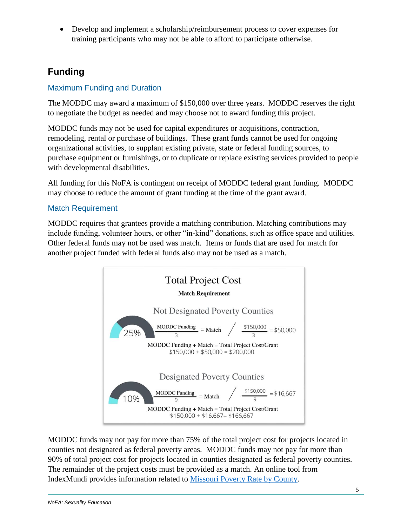Develop and implement a scholarship/reimbursement process to cover expenses for training participants who may not be able to afford to participate otherwise.

# **Funding**

#### Maximum Funding and Duration

The MODDC may award a maximum of \$150,000 over three years. MODDC reserves the right to negotiate the budget as needed and may choose not to award funding this project.

MODDC funds may not be used for capital expenditures or acquisitions, contraction, remodeling, rental or purchase of buildings. These grant funds cannot be used for ongoing organizational activities, to supplant existing private, state or federal funding sources, to purchase equipment or furnishings, or to duplicate or replace existing services provided to people with developmental disabilities.

All funding for this NoFA is contingent on receipt of MODDC federal grant funding. MODDC may choose to reduce the amount of grant funding at the time of the grant award.

#### Match Requirement

MODDC requires that grantees provide a matching contribution. Matching contributions may include funding, volunteer hours, or other "in-kind" donations, such as office space and utilities. Other federal funds may not be used was match. Items or funds that are used for match for another project funded with federal funds also may not be used as a match.



MODDC funds may not pay for more than 75% of the total project cost for projects located in counties not designated as federal poverty areas. MODDC funds may not pay for more than 90% of total project cost for projects located in counties designated as federal poverty counties. The remainder of the project costs must be provided as a match. An online tool from IndexMundi provides information related to [Missouri Poverty Rate by County.](https://www.indexmundi.com/facts/united-states/quick-facts/missouri/percent-of-people-of-all-ages-in-poverty#map)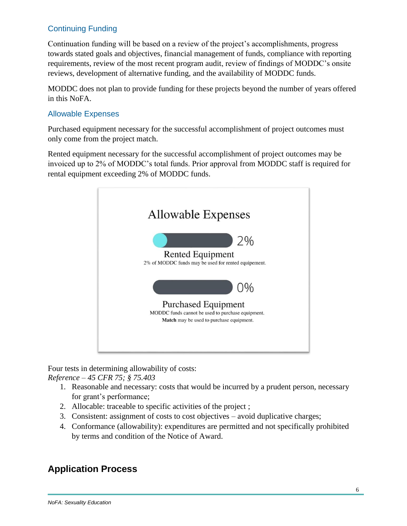## Continuing Funding

Continuation funding will be based on a review of the project's accomplishments, progress towards stated goals and objectives, financial management of funds, compliance with reporting requirements, review of the most recent program audit, review of findings of MODDC's onsite reviews, development of alternative funding, and the availability of MODDC funds.

MODDC does not plan to provide funding for these projects beyond the number of years offered in this NoFA.

#### Allowable Expenses

Purchased equipment necessary for the successful accomplishment of project outcomes must only come from the project match.

Rented equipment necessary for the successful accomplishment of project outcomes may be invoiced up to 2% of MODDC's total funds. Prior approval from MODDC staff is required for rental equipment exceeding 2% of MODDC funds.



Four tests in determining allowability of costs: *Reference – 45 CFR 75; § 75.403*

- 1. Reasonable and necessary: costs that would be incurred by a prudent person, necessary for grant's performance;
- 2. Allocable: traceable to specific activities of the project ;
- 3. Consistent: assignment of costs to cost objectives avoid duplicative charges;
- 4. Conformance (allowability): expenditures are permitted and not specifically prohibited by terms and condition of the Notice of Award.

# **Application Process**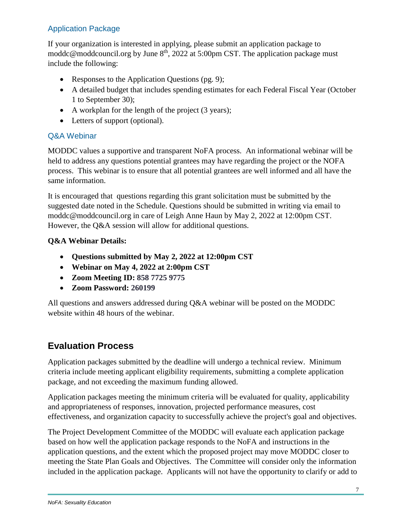## Application Package

If your organization is interested in applying, please submit an application package to moddc@moddcouncil.org by June  $8<sup>th</sup>$ , 2022 at 5:00pm CST. The application package must include the following:

- Responses to the Application Questions (pg. 9);
- A detailed budget that includes spending estimates for each Federal Fiscal Year (October 1 to September 30);
- A workplan for the length of the project (3 years);
- Letters of support (optional).

#### Q&A Webinar

MODDC values a supportive and transparent NoFA process. An informational webinar will be held to address any questions potential grantees may have regarding the project or the NOFA process. This webinar is to ensure that all potential grantees are well informed and all have the same information.

It is encouraged that questions regarding this grant solicitation must be submitted by the suggested date noted in the Schedule. Questions should be submitted in writing via email to moddc@moddcouncil.org in care of Leigh Anne Haun by May 2, 2022 at 12:00pm CST. However, the Q&A session will allow for additional questions.

#### **Q&A Webinar Details:**

- **Questions submitted by May 2, 2022 at 12:00pm CST**
- **Webinar on May 4, 2022 at 2:00pm CST**
- **Zoom Meeting ID: 858 7725 9775**
- **Zoom Password: 260199**

All questions and answers addressed during Q&A webinar will be posted on the MODDC website within 48 hours of the webinar.

## **Evaluation Process**

Application packages submitted by the deadline will undergo a technical review. Minimum criteria include meeting applicant eligibility requirements, submitting a complete application package, and not exceeding the maximum funding allowed.

Application packages meeting the minimum criteria will be evaluated for quality, applicability and appropriateness of responses, innovation, projected performance measures, cost effectiveness, and organization capacity to successfully achieve the project's goal and objectives.

The Project Development Committee of the MODDC will evaluate each application package based on how well the application package responds to the NoFA and instructions in the application questions, and the extent which the proposed project may move MODDC closer to meeting the State Plan Goals and Objectives. The Committee will consider only the information included in the application package. Applicants will not have the opportunity to clarify or add to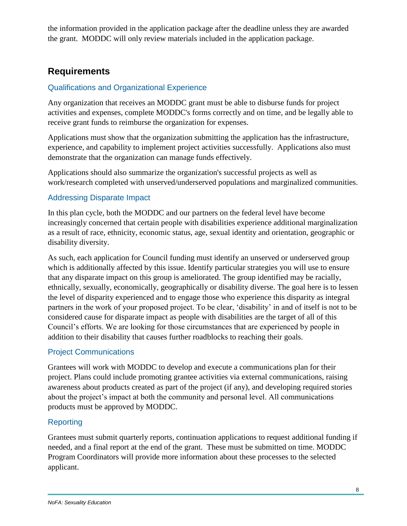the information provided in the application package after the deadline unless they are awarded the grant. MODDC will only review materials included in the application package.

## **Requirements**

#### Qualifications and Organizational Experience

Any organization that receives an MODDC grant must be able to disburse funds for project activities and expenses, complete MODDC's forms correctly and on time, and be legally able to receive grant funds to reimburse the organization for expenses.

Applications must show that the organization submitting the application has the infrastructure, experience, and capability to implement project activities successfully. Applications also must demonstrate that the organization can manage funds effectively.

Applications should also summarize the organization's successful projects as well as work/research completed with unserved/underserved populations and marginalized communities.

## Addressing Disparate Impact

In this plan cycle, both the MODDC and our partners on the federal level have become increasingly concerned that certain people with disabilities experience additional marginalization as a result of race, ethnicity, economic status, age, sexual identity and orientation, geographic or disability diversity.

As such, each application for Council funding must identify an unserved or underserved group which is additionally affected by this issue. Identify particular strategies you will use to ensure that any disparate impact on this group is ameliorated. The group identified may be racially, ethnically, sexually, economically, geographically or disability diverse. The goal here is to lessen the level of disparity experienced and to engage those who experience this disparity as integral partners in the work of your proposed project. To be clear, 'disability' in and of itself is not to be considered cause for disparate impact as people with disabilities are the target of all of this Council's efforts. We are looking for those circumstances that are experienced by people in addition to their disability that causes further roadblocks to reaching their goals.

#### Project Communications

Grantees will work with MODDC to develop and execute a communications plan for their project. Plans could include promoting grantee activities via external communications, raising awareness about products created as part of the project (if any), and developing required stories about the project's impact at both the community and personal level. All communications products must be approved by MODDC.

## Reporting

Grantees must submit quarterly reports, continuation applications to request additional funding if needed, and a final report at the end of the grant. These must be submitted on time. MODDC Program Coordinators will provide more information about these processes to the selected applicant.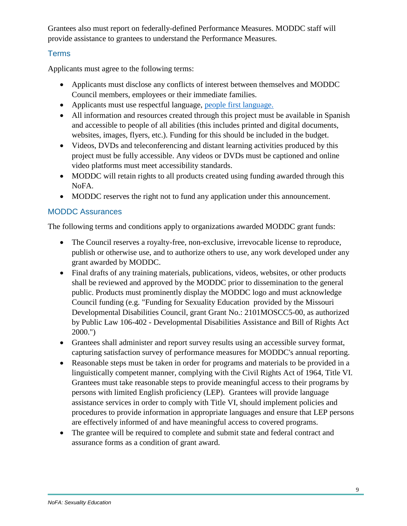Grantees also must report on federally-defined Performance Measures. MODDC staff will provide assistance to grantees to understand the Performance Measures.

#### **Terms**

Applicants must agree to the following terms:

- Applicants must disclose any conflicts of interest between themselves and MODDC Council members, employees or their immediate families.
- Applicants must use respectful language, [people first language.](https://gcdd.org/news-a-media/people-first-language.html)
- All information and resources created through this project must be available in Spanish and accessible to people of all abilities (this includes printed and digital documents, websites, images, flyers, etc.). Funding for this should be included in the budget.
- Videos, DVDs and teleconferencing and distant learning activities produced by this project must be fully accessible. Any videos or DVDs must be captioned and online video platforms must meet accessibility standards.
- MODDC will retain rights to all products created using funding awarded through this NoFA.
- MODDC reserves the right not to fund any application under this announcement.

#### MODDC Assurances

The following terms and conditions apply to organizations awarded MODDC grant funds:

- The Council reserves a royalty-free, non-exclusive, irrevocable license to reproduce, publish or otherwise use, and to authorize others to use, any work developed under any grant awarded by MODDC.
- Final drafts of any training materials, publications, videos, websites, or other products shall be reviewed and approved by the MODDC prior to dissemination to the general public. Products must prominently display the MODDC logo and must acknowledge Council funding (e.g. "Funding for Sexuality Education provided by the Missouri Developmental Disabilities Council, grant Grant No.: 2101MOSCC5-00, as authorized by Public Law 106-402 - Developmental Disabilities Assistance and Bill of Rights Act 2000.")
- Grantees shall administer and report survey results using an accessible survey format, capturing satisfaction survey of performance measures for MODDC's annual reporting.
- Reasonable steps must be taken in order for programs and materials to be provided in a linguistically competent manner, complying with the Civil Rights Act of 1964, Title VI. Grantees must take reasonable steps to provide meaningful access to their programs by persons with limited English proficiency (LEP). Grantees will provide language assistance services in order to comply with Title VI, should implement policies and procedures to provide information in appropriate languages and ensure that LEP persons are effectively informed of and have meaningful access to covered programs.
- The grantee will be required to complete and submit state and federal contract and assurance forms as a condition of grant award.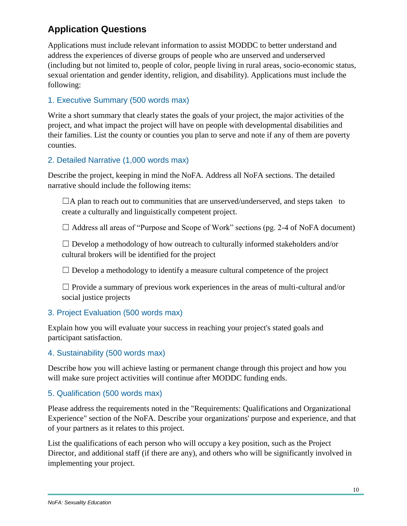# **Application Questions**

Applications must include relevant information to assist MODDC to better understand and address the experiences of diverse groups of people who are unserved and underserved (including but not limited to, people of color, people living in rural areas, socio-economic status, sexual orientation and gender identity, religion, and disability). Applications must include the following:

#### 1. Executive Summary (500 words max)

Write a short summary that clearly states the goals of your project, the major activities of the project, and what impact the project will have on people with developmental disabilities and their families. List the county or counties you plan to serve and note if any of them are poverty counties.

#### 2. Detailed Narrative (1,000 words max)

Describe the project, keeping in mind the NoFA. Address all NoFA sections. The detailed narrative should include the following items:

 $\Box A$  plan to reach out to communities that are unserved/underserved, and steps taken to create a culturally and linguistically competent project.

 $\Box$  Address all areas of "Purpose and Scope of Work" sections (pg. 2-4 of NoFA document)

 $\Box$  Develop a methodology of how outreach to culturally informed stakeholders and/or cultural brokers will be identified for the project

 $\Box$  Develop a methodology to identify a measure cultural competence of the project

 $\Box$  Provide a summary of previous work experiences in the areas of multi-cultural and/or social justice projects

#### 3. Project Evaluation (500 words max)

Explain how you will evaluate your success in reaching your project's stated goals and participant satisfaction.

#### 4. Sustainability (500 words max)

Describe how you will achieve lasting or permanent change through this project and how you will make sure project activities will continue after MODDC funding ends.

#### 5. Qualification (500 words max)

Please address the requirements noted in the "Requirements: Qualifications and Organizational Experience" section of the NoFA. Describe your organizations' purpose and experience, and that of your partners as it relates to this project.

List the qualifications of each person who will occupy a key position, such as the Project Director, and additional staff (if there are any), and others who will be significantly involved in implementing your project.